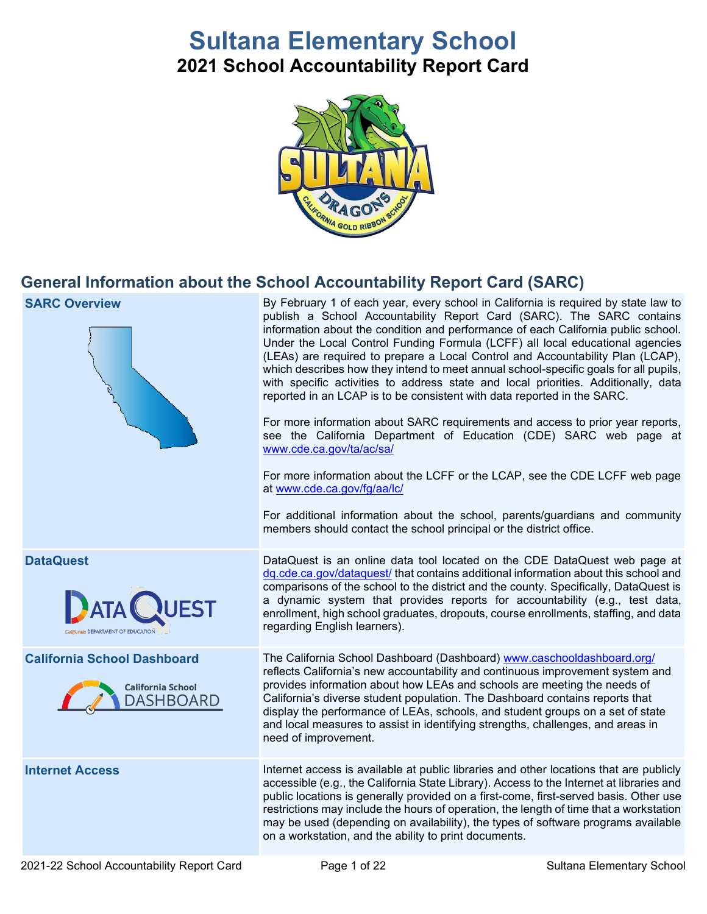# **Sultana Elementary School**

**2021 School Accountability Report Card**



## **General Information about the School Accountability Report Card (SARC)**

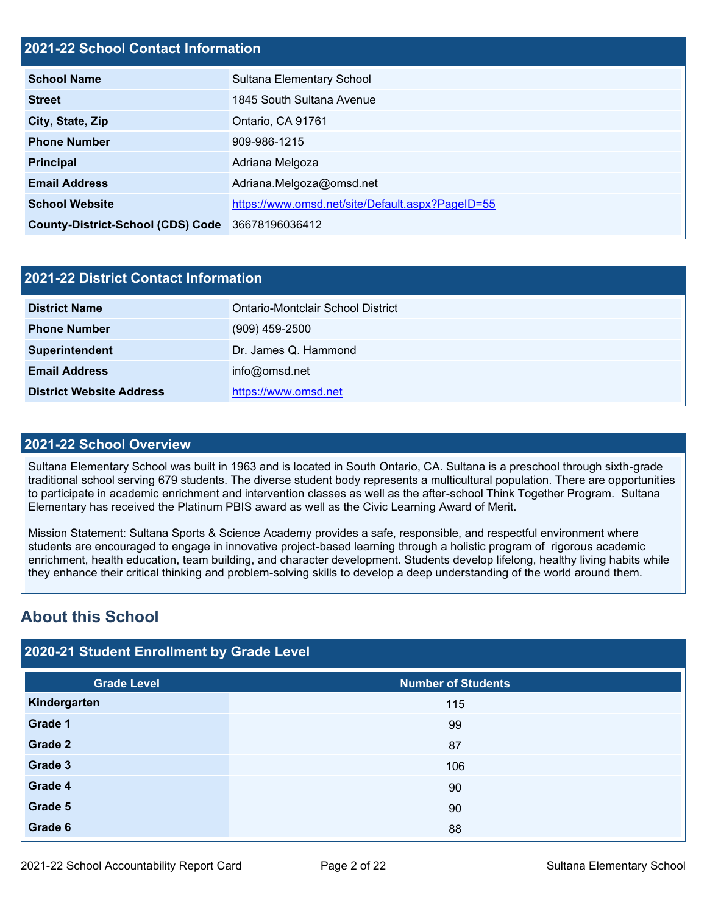## **2021-22 School Contact Information**

| <b>School Name</b>                               | Sultana Elementary School                        |
|--------------------------------------------------|--------------------------------------------------|
| <b>Street</b>                                    | 1845 South Sultana Avenue                        |
| City, State, Zip                                 | Ontario, CA 91761                                |
| <b>Phone Number</b>                              | 909-986-1215                                     |
| <b>Principal</b>                                 | Adriana Melgoza                                  |
| <b>Email Address</b>                             | Adriana.Melgoza@omsd.net                         |
| <b>School Website</b>                            | https://www.omsd.net/site/Default.aspx?PageID=55 |
| County-District-School (CDS) Code 36678196036412 |                                                  |

| 2021-22 District Contact Information |                                   |  |  |  |  |
|--------------------------------------|-----------------------------------|--|--|--|--|
| <b>District Name</b>                 | Ontario-Montclair School District |  |  |  |  |
| <b>Phone Number</b>                  | $(909)$ 459-2500                  |  |  |  |  |
| Superintendent                       | Dr. James Q. Hammond              |  |  |  |  |
| <b>Email Address</b>                 | info@omsd.net                     |  |  |  |  |
| <b>District Website Address</b>      | https://www.omsd.net              |  |  |  |  |

### **2021-22 School Overview**

Sultana Elementary School was built in 1963 and is located in South Ontario, CA. Sultana is a preschool through sixth-grade traditional school serving 679 students. The diverse student body represents a multicultural population. There are opportunities to participate in academic enrichment and intervention classes as well as the after-school Think Together Program. Sultana Elementary has received the Platinum PBIS award as well as the Civic Learning Award of Merit.

Mission Statement: Sultana Sports & Science Academy provides a safe, responsible, and respectful environment where students are encouraged to engage in innovative project-based learning through a holistic program of rigorous academic enrichment, health education, team building, and character development. Students develop lifelong, healthy living habits while they enhance their critical thinking and problem-solving skills to develop a deep understanding of the world around them.

## **About this School**

|  | 2020-21 Student Enrollment by Grade Level |  |  |
|--|-------------------------------------------|--|--|
|  |                                           |  |  |
|  |                                           |  |  |

| <b>Grade Level</b> | Number of Students |
|--------------------|--------------------|
| Kindergarten       | 115                |
| Grade 1            | 99                 |
| Grade 2            | 87                 |
| Grade 3            | 106                |
| Grade 4            | 90                 |
| Grade 5            | 90                 |
| Grade 6            | 88                 |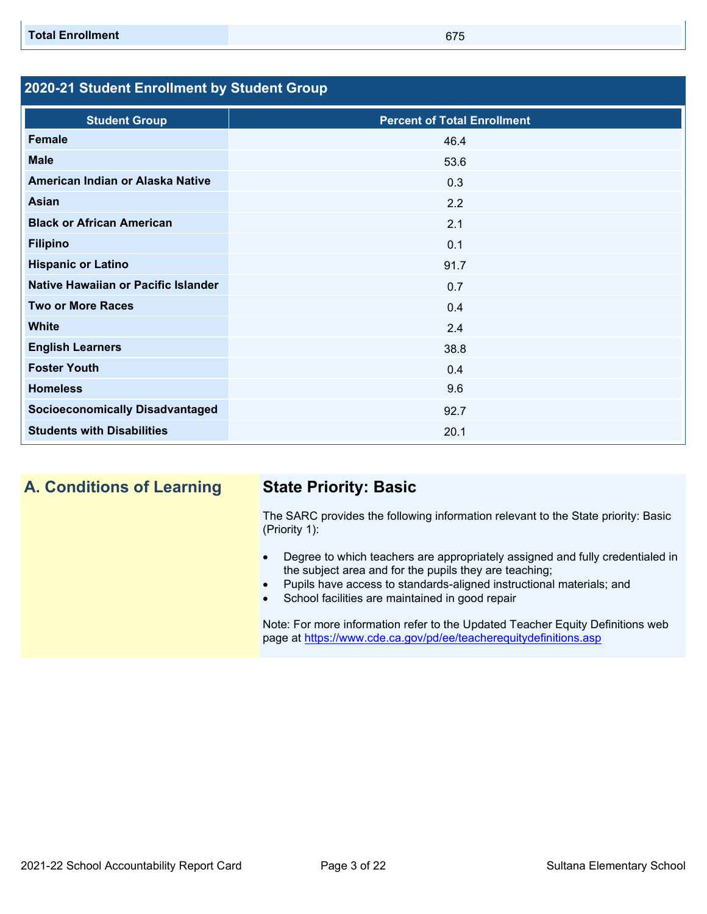## **2020-21 Student Enrollment by Student Group**

| <b>Student Group</b>                   | <b>Percent of Total Enrollment</b> |
|----------------------------------------|------------------------------------|
| <b>Female</b>                          | 46.4                               |
| <b>Male</b>                            | 53.6                               |
| American Indian or Alaska Native       | 0.3                                |
| <b>Asian</b>                           | 2.2                                |
| <b>Black or African American</b>       | 2.1                                |
| <b>Filipino</b>                        | 0.1                                |
| <b>Hispanic or Latino</b>              | 91.7                               |
| Native Hawaiian or Pacific Islander    | 0.7                                |
| <b>Two or More Races</b>               | 0.4                                |
| <b>White</b>                           | 2.4                                |
| <b>English Learners</b>                | 38.8                               |
| <b>Foster Youth</b>                    | 0.4                                |
| <b>Homeless</b>                        | 9.6                                |
| <b>Socioeconomically Disadvantaged</b> | 92.7                               |
| <b>Students with Disabilities</b>      | 20.1                               |

**A. Conditions of Learning State Priority: Basic**

The SARC provides the following information relevant to the State priority: Basic (Priority 1):

- Degree to which teachers are appropriately assigned and fully credentialed in the subject area and for the pupils they are teaching;
- Pupils have access to standards-aligned instructional materials; and
- School facilities are maintained in good repair

Note: For more information refer to the Updated Teacher Equity Definitions web page at<https://www.cde.ca.gov/pd/ee/teacherequitydefinitions.asp>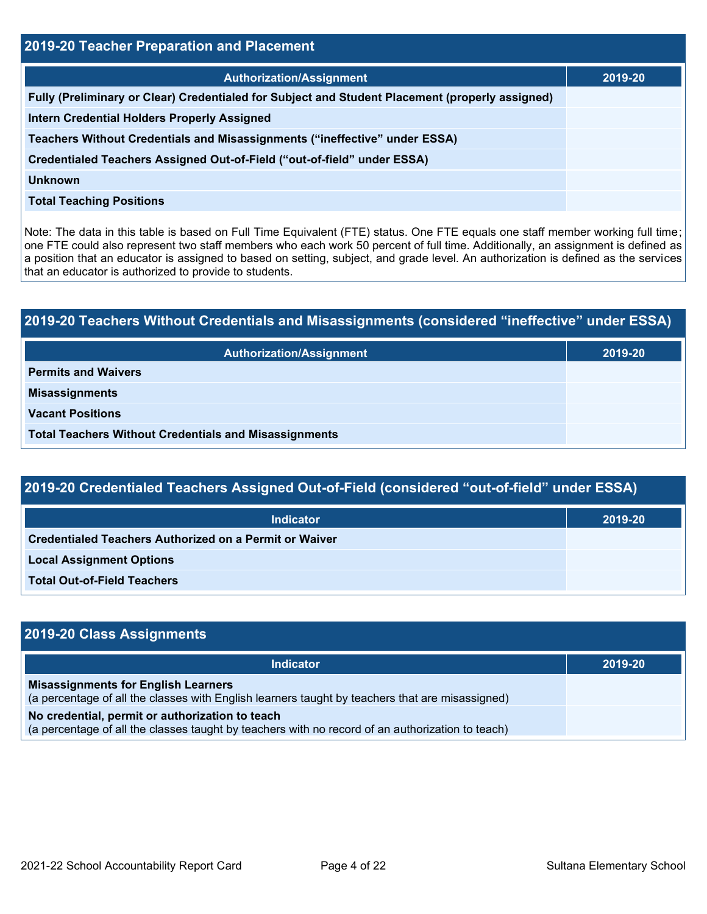| <b>2019-20 Teacher Preparation and Placement</b>                                                |         |  |  |  |  |
|-------------------------------------------------------------------------------------------------|---------|--|--|--|--|
| <b>Authorization/Assignment</b>                                                                 | 2019-20 |  |  |  |  |
| Fully (Preliminary or Clear) Credentialed for Subject and Student Placement (properly assigned) |         |  |  |  |  |
| <b>Intern Credential Holders Properly Assigned</b>                                              |         |  |  |  |  |
| Teachers Without Credentials and Misassignments ("ineffective" under ESSA)                      |         |  |  |  |  |
| Credentialed Teachers Assigned Out-of-Field ("out-of-field" under ESSA)                         |         |  |  |  |  |
| <b>Unknown</b>                                                                                  |         |  |  |  |  |
| <b>Total Teaching Positions</b>                                                                 |         |  |  |  |  |

Note: The data in this table is based on Full Time Equivalent (FTE) status. One FTE equals one staff member working full time; one FTE could also represent two staff members who each work 50 percent of full time. Additionally, an assignment is defined as a position that an educator is assigned to based on setting, subject, and grade level. An authorization is defined as the services that an educator is authorized to provide to students.

# **2019-20 Teachers Without Credentials and Misassignments (considered "ineffective" under ESSA) Authorization/Assignment 2019-20 Permits and Waivers Misassignments Vacant Positions Total Teachers Without Credentials and Misassignments**

| 2019-20 Credentialed Teachers Assigned Out-of-Field (considered "out-of-field" under ESSA) |         |  |  |  |
|--------------------------------------------------------------------------------------------|---------|--|--|--|
| <b>Indicator</b>                                                                           | 2019-20 |  |  |  |
| Credentialed Teachers Authorized on a Permit or Waiver                                     |         |  |  |  |
| <b>Local Assignment Options</b>                                                            |         |  |  |  |
| <b>Total Out-of-Field Teachers</b>                                                         |         |  |  |  |

| 2019-20 Class Assignments                                                                                                                           |         |
|-----------------------------------------------------------------------------------------------------------------------------------------------------|---------|
| <b>Indicator</b>                                                                                                                                    | 2019-20 |
| <b>Misassignments for English Learners</b><br>(a percentage of all the classes with English learners taught by teachers that are misassigned)       |         |
| No credential, permit or authorization to teach<br>(a percentage of all the classes taught by teachers with no record of an authorization to teach) |         |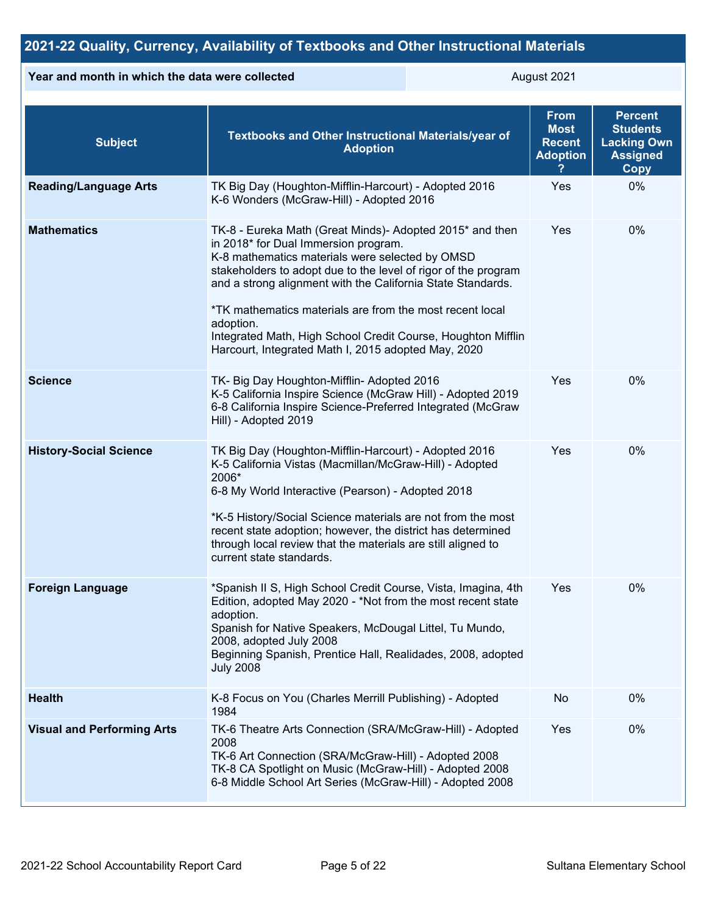## **2021-22 Quality, Currency, Availability of Textbooks and Other Instructional Materials**

### **Year and month in which the data were collected August 2021**

| <b>Subject</b>                    | Textbooks and Other Instructional Materials/year of<br><b>Adoption</b>                                                                                                                                                                                                                                                                                                                                                                                                               | <b>From</b><br><b>Most</b><br><b>Recent</b><br><b>Adoption</b> | <b>Percent</b><br><b>Students</b><br><b>Lacking Own</b><br><b>Assigned</b><br><b>Copy</b> |
|-----------------------------------|--------------------------------------------------------------------------------------------------------------------------------------------------------------------------------------------------------------------------------------------------------------------------------------------------------------------------------------------------------------------------------------------------------------------------------------------------------------------------------------|----------------------------------------------------------------|-------------------------------------------------------------------------------------------|
| <b>Reading/Language Arts</b>      | TK Big Day (Houghton-Mifflin-Harcourt) - Adopted 2016<br>K-6 Wonders (McGraw-Hill) - Adopted 2016                                                                                                                                                                                                                                                                                                                                                                                    | Yes                                                            | 0%                                                                                        |
| <b>Mathematics</b>                | TK-8 - Eureka Math (Great Minds)- Adopted 2015* and then<br>in 2018* for Dual Immersion program.<br>K-8 mathematics materials were selected by OMSD<br>stakeholders to adopt due to the level of rigor of the program<br>and a strong alignment with the California State Standards.<br>*TK mathematics materials are from the most recent local<br>adoption.<br>Integrated Math, High School Credit Course, Houghton Mifflin<br>Harcourt, Integrated Math I, 2015 adopted May, 2020 | Yes                                                            | 0%                                                                                        |
| <b>Science</b>                    | TK- Big Day Houghton-Mifflin- Adopted 2016<br>K-5 California Inspire Science (McGraw Hill) - Adopted 2019<br>6-8 California Inspire Science-Preferred Integrated (McGraw<br>Hill) - Adopted 2019                                                                                                                                                                                                                                                                                     | Yes                                                            | 0%                                                                                        |
| <b>History-Social Science</b>     | TK Big Day (Houghton-Mifflin-Harcourt) - Adopted 2016<br>K-5 California Vistas (Macmillan/McGraw-Hill) - Adopted<br>2006*<br>6-8 My World Interactive (Pearson) - Adopted 2018<br>*K-5 History/Social Science materials are not from the most<br>recent state adoption; however, the district has determined<br>through local review that the materials are still aligned to<br>current state standards.                                                                             | Yes                                                            | 0%                                                                                        |
| <b>Foreign Language</b>           | *Spanish II S, High School Credit Course, Vista, Imagina, 4th<br>Edition, adopted May 2020 - *Not from the most recent state<br>adoption.<br>Spanish for Native Speakers, McDougal Littel, Tu Mundo,<br>2008, adopted July 2008<br>Beginning Spanish, Prentice Hall, Realidades, 2008, adopted<br><b>July 2008</b>                                                                                                                                                                   | Yes                                                            | 0%                                                                                        |
| <b>Health</b>                     | K-8 Focus on You (Charles Merrill Publishing) - Adopted<br>1984                                                                                                                                                                                                                                                                                                                                                                                                                      | No                                                             | 0%                                                                                        |
| <b>Visual and Performing Arts</b> | TK-6 Theatre Arts Connection (SRA/McGraw-Hill) - Adopted<br>2008<br>TK-6 Art Connection (SRA/McGraw-Hill) - Adopted 2008<br>TK-8 CA Spotlight on Music (McGraw-Hill) - Adopted 2008<br>6-8 Middle School Art Series (McGraw-Hill) - Adopted 2008                                                                                                                                                                                                                                     | Yes                                                            | 0%                                                                                        |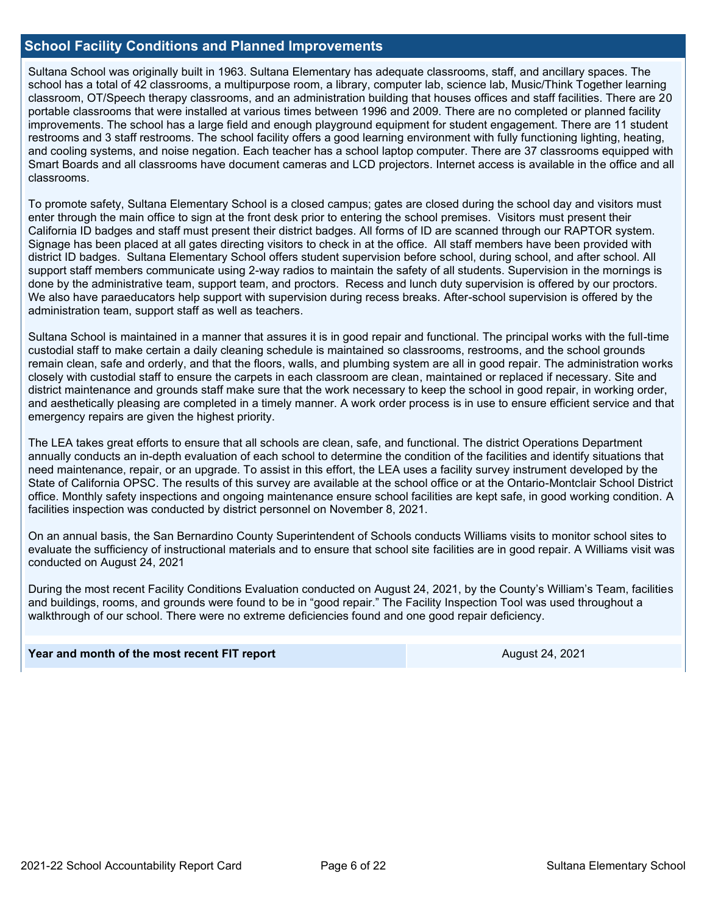### **School Facility Conditions and Planned Improvements**

Sultana School was originally built in 1963. Sultana Elementary has adequate classrooms, staff, and ancillary spaces. The school has a total of 42 classrooms, a multipurpose room, a library, computer lab, science lab, Music/Think Together learning classroom, OT/Speech therapy classrooms, and an administration building that houses offices and staff facilities. There are 20 portable classrooms that were installed at various times between 1996 and 2009. There are no completed or planned facility improvements. The school has a large field and enough playground equipment for student engagement. There are 11 student restrooms and 3 staff restrooms. The school facility offers a good learning environment with fully functioning lighting, heating, and cooling systems, and noise negation. Each teacher has a school laptop computer. There are 37 classrooms equipped with Smart Boards and all classrooms have document cameras and LCD projectors. Internet access is available in the office and all classrooms.

To promote safety, Sultana Elementary School is a closed campus; gates are closed during the school day and visitors must enter through the main office to sign at the front desk prior to entering the school premises. Visitors must present their California ID badges and staff must present their district badges. All forms of ID are scanned through our RAPTOR system. Signage has been placed at all gates directing visitors to check in at the office. All staff members have been provided with district ID badges. Sultana Elementary School offers student supervision before school, during school, and after school. All support staff members communicate using 2-way radios to maintain the safety of all students. Supervision in the mornings is done by the administrative team, support team, and proctors. Recess and lunch duty supervision is offered by our proctors. We also have paraeducators help support with supervision during recess breaks. After-school supervision is offered by the administration team, support staff as well as teachers.

Sultana School is maintained in a manner that assures it is in good repair and functional. The principal works with the full-time custodial staff to make certain a daily cleaning schedule is maintained so classrooms, restrooms, and the school grounds remain clean, safe and orderly, and that the floors, walls, and plumbing system are all in good repair. The administration works closely with custodial staff to ensure the carpets in each classroom are clean, maintained or replaced if necessary. Site and district maintenance and grounds staff make sure that the work necessary to keep the school in good repair, in working order, and aesthetically pleasing are completed in a timely manner. A work order process is in use to ensure efficient service and that emergency repairs are given the highest priority.

The LEA takes great efforts to ensure that all schools are clean, safe, and functional. The district Operations Department annually conducts an in-depth evaluation of each school to determine the condition of the facilities and identify situations that need maintenance, repair, or an upgrade. To assist in this effort, the LEA uses a facility survey instrument developed by the State of California OPSC. The results of this survey are available at the school office or at the Ontario-Montclair School District office. Monthly safety inspections and ongoing maintenance ensure school facilities are kept safe, in good working condition. A facilities inspection was conducted by district personnel on November 8, 2021.

On an annual basis, the San Bernardino County Superintendent of Schools conducts Williams visits to monitor school sites to evaluate the sufficiency of instructional materials and to ensure that school site facilities are in good repair. A Williams visit was conducted on August 24, 2021

During the most recent Facility Conditions Evaluation conducted on August 24, 2021, by the County's William's Team, facilities and buildings, rooms, and grounds were found to be in "good repair." The Facility Inspection Tool was used throughout a walkthrough of our school. There were no extreme deficiencies found and one good repair deficiency.

### **Year and month of the most recent FIT report** August 24, 2021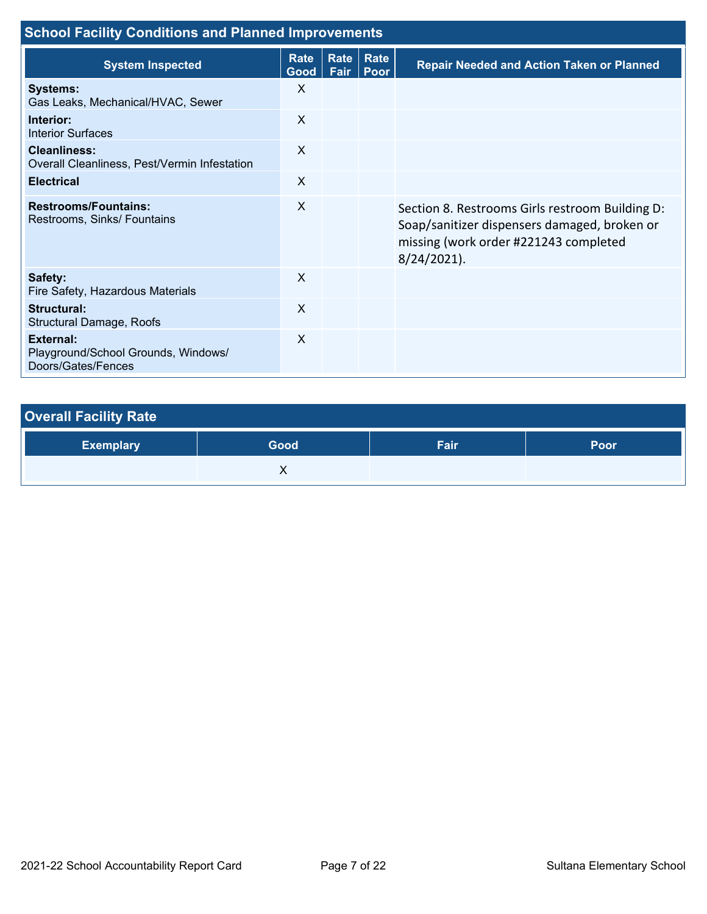| <b>School Facility Conditions and Planned Improvements</b>                    |              |              |              |                                                                                                                                                            |  |  |  |
|-------------------------------------------------------------------------------|--------------|--------------|--------------|------------------------------------------------------------------------------------------------------------------------------------------------------------|--|--|--|
| <b>System Inspected</b>                                                       | Rate<br>Good | Rate<br>Fair | Rate<br>Poor | <b>Repair Needed and Action Taken or Planned</b>                                                                                                           |  |  |  |
| <b>Systems:</b><br>Gas Leaks, Mechanical/HVAC, Sewer                          | X            |              |              |                                                                                                                                                            |  |  |  |
| Interior:<br><b>Interior Surfaces</b>                                         | X            |              |              |                                                                                                                                                            |  |  |  |
| <b>Cleanliness:</b><br>Overall Cleanliness, Pest/Vermin Infestation           | X            |              |              |                                                                                                                                                            |  |  |  |
| <b>Electrical</b>                                                             | $\mathsf{X}$ |              |              |                                                                                                                                                            |  |  |  |
| <b>Restrooms/Fountains:</b><br>Restrooms, Sinks/ Fountains                    | $\sf X$      |              |              | Section 8. Restrooms Girls restroom Building D:<br>Soap/sanitizer dispensers damaged, broken or<br>missing (work order #221243 completed<br>$8/24/2021$ ). |  |  |  |
| Safety:<br>Fire Safety, Hazardous Materials                                   | X            |              |              |                                                                                                                                                            |  |  |  |
| Structural:<br><b>Structural Damage, Roofs</b>                                | $\sf X$      |              |              |                                                                                                                                                            |  |  |  |
| <b>External:</b><br>Playground/School Grounds, Windows/<br>Doors/Gates/Fences | $\sf X$      |              |              |                                                                                                                                                            |  |  |  |

| <b>Overall Facility Rate</b> |      |      |      |
|------------------------------|------|------|------|
| <b>Exemplary</b>             | Good | Fair | Poor |
|                              |      |      |      |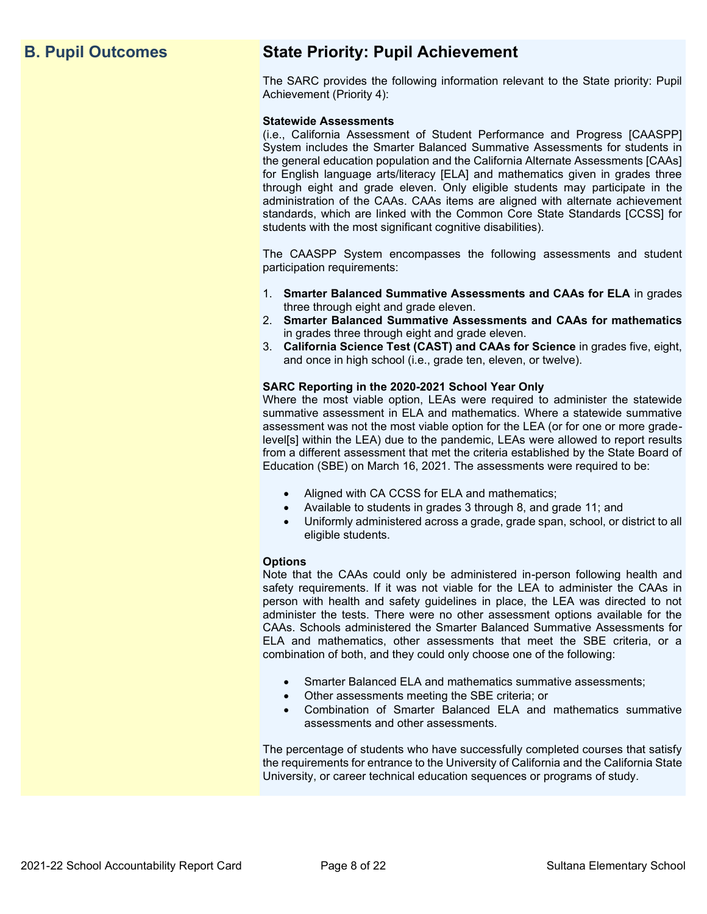## **B. Pupil Outcomes State Priority: Pupil Achievement**

The SARC provides the following information relevant to the State priority: Pupil Achievement (Priority 4):

### **Statewide Assessments**

(i.e., California Assessment of Student Performance and Progress [CAASPP] System includes the Smarter Balanced Summative Assessments for students in the general education population and the California Alternate Assessments [CAAs] for English language arts/literacy [ELA] and mathematics given in grades three through eight and grade eleven. Only eligible students may participate in the administration of the CAAs. CAAs items are aligned with alternate achievement standards, which are linked with the Common Core State Standards [CCSS] for students with the most significant cognitive disabilities).

The CAASPP System encompasses the following assessments and student participation requirements:

- 1. **Smarter Balanced Summative Assessments and CAAs for ELA** in grades three through eight and grade eleven.
- 2. **Smarter Balanced Summative Assessments and CAAs for mathematics** in grades three through eight and grade eleven.
- 3. **California Science Test (CAST) and CAAs for Science** in grades five, eight, and once in high school (i.e., grade ten, eleven, or twelve).

### **SARC Reporting in the 2020-2021 School Year Only**

Where the most viable option, LEAs were required to administer the statewide summative assessment in ELA and mathematics. Where a statewide summative assessment was not the most viable option for the LEA (or for one or more gradelevel[s] within the LEA) due to the pandemic, LEAs were allowed to report results from a different assessment that met the criteria established by the State Board of Education (SBE) on March 16, 2021. The assessments were required to be:

- Aligned with CA CCSS for ELA and mathematics;
- Available to students in grades 3 through 8, and grade 11; and
- Uniformly administered across a grade, grade span, school, or district to all eligible students.

### **Options**

Note that the CAAs could only be administered in-person following health and safety requirements. If it was not viable for the LEA to administer the CAAs in person with health and safety guidelines in place, the LEA was directed to not administer the tests. There were no other assessment options available for the CAAs. Schools administered the Smarter Balanced Summative Assessments for ELA and mathematics, other assessments that meet the SBE criteria, or a combination of both, and they could only choose one of the following:

- Smarter Balanced ELA and mathematics summative assessments;
- Other assessments meeting the SBE criteria; or
- Combination of Smarter Balanced ELA and mathematics summative assessments and other assessments.

The percentage of students who have successfully completed courses that satisfy the requirements for entrance to the University of California and the California State University, or career technical education sequences or programs of study.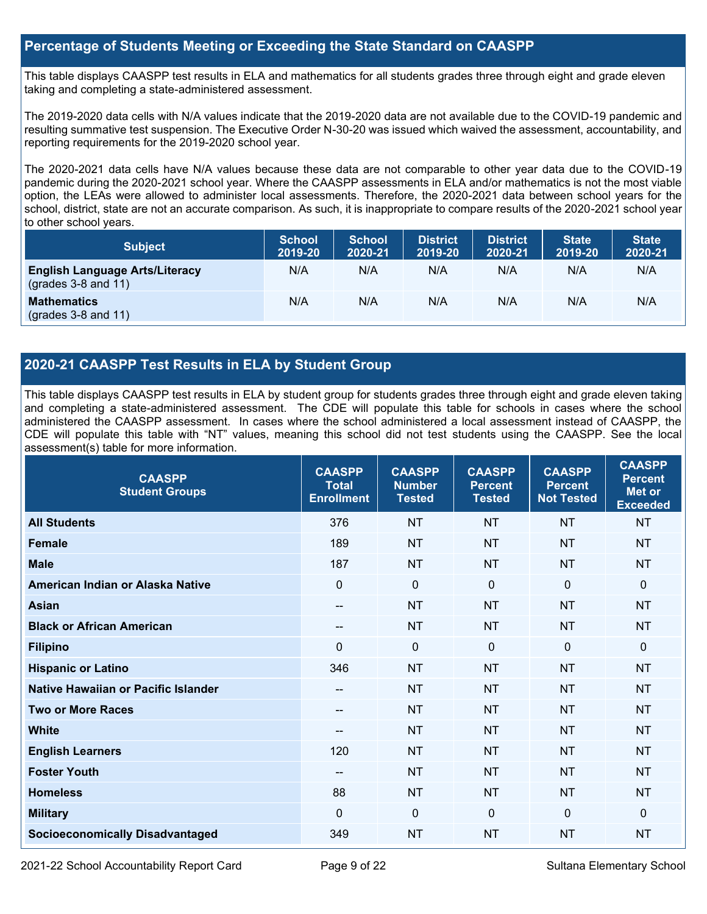## **Percentage of Students Meeting or Exceeding the State Standard on CAASPP**

This table displays CAASPP test results in ELA and mathematics for all students grades three through eight and grade eleven taking and completing a state-administered assessment.

The 2019-2020 data cells with N/A values indicate that the 2019-2020 data are not available due to the COVID-19 pandemic and resulting summative test suspension. The Executive Order N-30-20 was issued which waived the assessment, accountability, and reporting requirements for the 2019-2020 school year.

The 2020-2021 data cells have N/A values because these data are not comparable to other year data due to the COVID-19 pandemic during the 2020-2021 school year. Where the CAASPP assessments in ELA and/or mathematics is not the most viable option, the LEAs were allowed to administer local assessments. Therefore, the 2020-2021 data between school years for the school, district, state are not an accurate comparison. As such, it is inappropriate to compare results of the 2020-2021 school year to other school years.

| <b>Subject</b>                                                       | <b>School</b><br>2019-20 | <b>School</b><br>2020-21 | <b>District</b><br>2019-20 | <b>District</b><br>2020-21 | <b>State</b><br>2019-20 | <b>State</b><br>2020-21 |
|----------------------------------------------------------------------|--------------------------|--------------------------|----------------------------|----------------------------|-------------------------|-------------------------|
| <b>English Language Arts/Literacy</b><br>$\left($ grades 3-8 and 11) | N/A                      | N/A                      | N/A                        | N/A                        | N/A                     | N/A                     |
| <b>Mathematics</b><br>$(grades 3-8 and 11)$                          | N/A                      | N/A                      | N/A                        | N/A                        | N/A                     | N/A                     |

## **2020-21 CAASPP Test Results in ELA by Student Group**

This table displays CAASPP test results in ELA by student group for students grades three through eight and grade eleven taking and completing a state-administered assessment. The CDE will populate this table for schools in cases where the school administered the CAASPP assessment. In cases where the school administered a local assessment instead of CAASPP, the CDE will populate this table with "NT" values, meaning this school did not test students using the CAASPP. See the local assessment(s) table for more information.

| <b>CAASPP</b><br><b>Student Groups</b> | <b>CAASPP</b><br><b>Total</b><br><b>Enrollment</b> | <b>CAASPP</b><br><b>Number</b><br><b>Tested</b> | <b>CAASPP</b><br><b>Percent</b><br><b>Tested</b> | <b>CAASPP</b><br><b>Percent</b><br><b>Not Tested</b> | <b>CAASPP</b><br><b>Percent</b><br>Met or<br><b>Exceeded</b> |
|----------------------------------------|----------------------------------------------------|-------------------------------------------------|--------------------------------------------------|------------------------------------------------------|--------------------------------------------------------------|
| <b>All Students</b>                    | 376                                                | <b>NT</b>                                       | <b>NT</b>                                        | <b>NT</b>                                            | <b>NT</b>                                                    |
| <b>Female</b>                          | 189                                                | <b>NT</b>                                       | <b>NT</b>                                        | <b>NT</b>                                            | <b>NT</b>                                                    |
| <b>Male</b>                            | 187                                                | <b>NT</b>                                       | <b>NT</b>                                        | <b>NT</b>                                            | <b>NT</b>                                                    |
| American Indian or Alaska Native       | $\overline{0}$                                     | $\mathbf 0$                                     | $\mathbf{0}$                                     | $\Omega$                                             | $\Omega$                                                     |
| <b>Asian</b>                           | --                                                 | <b>NT</b>                                       | <b>NT</b>                                        | <b>NT</b>                                            | <b>NT</b>                                                    |
| <b>Black or African American</b>       | --                                                 | <b>NT</b>                                       | <b>NT</b>                                        | <b>NT</b>                                            | <b>NT</b>                                                    |
| <b>Filipino</b>                        | $\mathbf{0}$                                       | $\mathbf 0$                                     | $\mathbf 0$                                      | $\overline{0}$                                       | $\mathbf 0$                                                  |
| <b>Hispanic or Latino</b>              | 346                                                | <b>NT</b>                                       | <b>NT</b>                                        | <b>NT</b>                                            | <b>NT</b>                                                    |
| Native Hawaiian or Pacific Islander    | --                                                 | <b>NT</b>                                       | <b>NT</b>                                        | <b>NT</b>                                            | <b>NT</b>                                                    |
| <b>Two or More Races</b>               | --                                                 | <b>NT</b>                                       | <b>NT</b>                                        | <b>NT</b>                                            | <b>NT</b>                                                    |
| <b>White</b>                           | --                                                 | <b>NT</b>                                       | <b>NT</b>                                        | <b>NT</b>                                            | <b>NT</b>                                                    |
| <b>English Learners</b>                | 120                                                | <b>NT</b>                                       | <b>NT</b>                                        | <b>NT</b>                                            | <b>NT</b>                                                    |
| <b>Foster Youth</b>                    | --                                                 | <b>NT</b>                                       | <b>NT</b>                                        | <b>NT</b>                                            | NT                                                           |
| <b>Homeless</b>                        | 88                                                 | <b>NT</b>                                       | <b>NT</b>                                        | <b>NT</b>                                            | <b>NT</b>                                                    |
| <b>Military</b>                        | $\mathbf{0}$                                       | $\mathbf 0$                                     | $\mathbf 0$                                      | $\Omega$                                             | $\mathbf{0}$                                                 |
| <b>Socioeconomically Disadvantaged</b> | 349                                                | <b>NT</b>                                       | <b>NT</b>                                        | <b>NT</b>                                            | <b>NT</b>                                                    |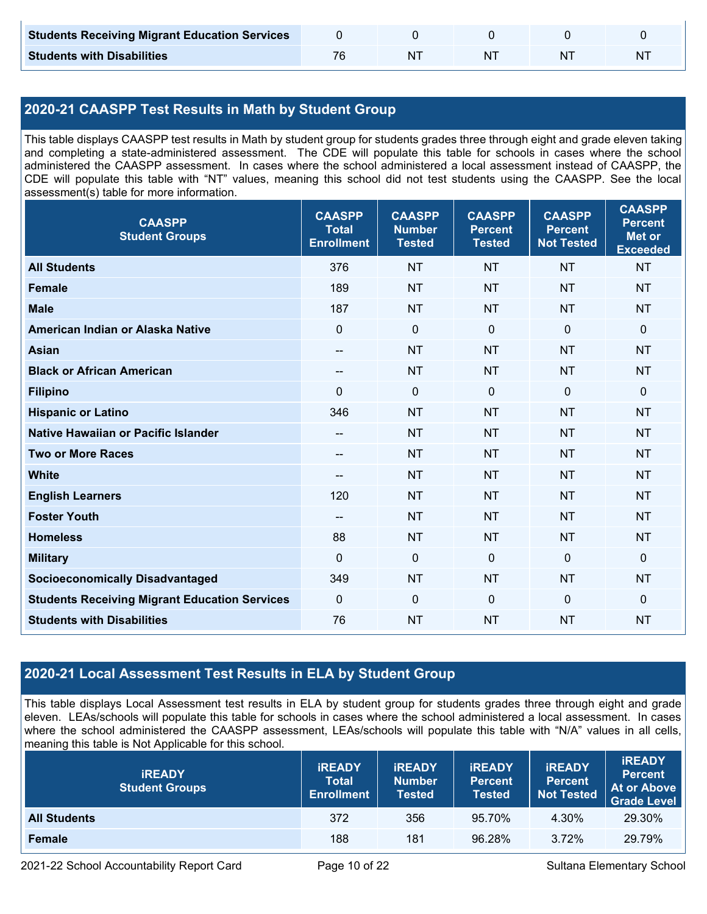| <b>Students Receiving Migrant Education Services</b> |    |  |   |
|------------------------------------------------------|----|--|---|
| <b>Students with Disabilities</b>                    | NΊ |  | N |

## **2020-21 CAASPP Test Results in Math by Student Group**

This table displays CAASPP test results in Math by student group for students grades three through eight and grade eleven taking and completing a state-administered assessment. The CDE will populate this table for schools in cases where the school administered the CAASPP assessment. In cases where the school administered a local assessment instead of CAASPP, the CDE will populate this table with "NT" values, meaning this school did not test students using the CAASPP. See the local assessment(s) table for more information.

| <b>CAASPP</b><br><b>Student Groups</b>               | <b>CAASPP</b><br><b>Total</b><br><b>Enrollment</b> | <b>CAASPP</b><br><b>Number</b><br><b>Tested</b> | <b>CAASPP</b><br><b>Percent</b><br><b>Tested</b> | <b>CAASPP</b><br><b>Percent</b><br><b>Not Tested</b> | <b>CAASPP</b><br><b>Percent</b><br><b>Met or</b><br><b>Exceeded</b> |
|------------------------------------------------------|----------------------------------------------------|-------------------------------------------------|--------------------------------------------------|------------------------------------------------------|---------------------------------------------------------------------|
| <b>All Students</b>                                  | 376                                                | <b>NT</b>                                       | <b>NT</b>                                        | <b>NT</b>                                            | <b>NT</b>                                                           |
| <b>Female</b>                                        | 189                                                | <b>NT</b>                                       | <b>NT</b>                                        | <b>NT</b>                                            | <b>NT</b>                                                           |
| <b>Male</b>                                          | 187                                                | <b>NT</b>                                       | <b>NT</b>                                        | <b>NT</b>                                            | <b>NT</b>                                                           |
| American Indian or Alaska Native                     | $\mathbf 0$                                        | $\mathbf 0$                                     | $\mathbf 0$                                      | $\mathbf 0$                                          | $\mathbf 0$                                                         |
| <b>Asian</b>                                         | $\overline{\phantom{a}}$                           | <b>NT</b>                                       | <b>NT</b>                                        | <b>NT</b>                                            | <b>NT</b>                                                           |
| <b>Black or African American</b>                     | --                                                 | <b>NT</b>                                       | <b>NT</b>                                        | <b>NT</b>                                            | <b>NT</b>                                                           |
| <b>Filipino</b>                                      | $\mathbf{0}$                                       | $\mathbf 0$                                     | $\mathbf 0$                                      | $\Omega$                                             | $\mathbf 0$                                                         |
| <b>Hispanic or Latino</b>                            | 346                                                | <b>NT</b>                                       | <b>NT</b>                                        | <b>NT</b>                                            | <b>NT</b>                                                           |
| Native Hawaiian or Pacific Islander                  | --                                                 | <b>NT</b>                                       | <b>NT</b>                                        | <b>NT</b>                                            | <b>NT</b>                                                           |
| <b>Two or More Races</b>                             | $\overline{\phantom{a}}$                           | <b>NT</b>                                       | <b>NT</b>                                        | <b>NT</b>                                            | <b>NT</b>                                                           |
| <b>White</b>                                         | $\hspace{0.05cm}$ – $\hspace{0.05cm}$              | <b>NT</b>                                       | <b>NT</b>                                        | <b>NT</b>                                            | <b>NT</b>                                                           |
| <b>English Learners</b>                              | 120                                                | <b>NT</b>                                       | <b>NT</b>                                        | <b>NT</b>                                            | <b>NT</b>                                                           |
| <b>Foster Youth</b>                                  | --                                                 | <b>NT</b>                                       | <b>NT</b>                                        | <b>NT</b>                                            | <b>NT</b>                                                           |
| <b>Homeless</b>                                      | 88                                                 | <b>NT</b>                                       | <b>NT</b>                                        | <b>NT</b>                                            | <b>NT</b>                                                           |
| <b>Military</b>                                      | $\mathbf{0}$                                       | $\mathbf 0$                                     | $\mathbf 0$                                      | $\Omega$                                             | $\mathbf 0$                                                         |
| <b>Socioeconomically Disadvantaged</b>               | 349                                                | <b>NT</b>                                       | <b>NT</b>                                        | <b>NT</b>                                            | <b>NT</b>                                                           |
| <b>Students Receiving Migrant Education Services</b> | $\mathbf 0$                                        | $\pmb{0}$                                       | $\mathbf 0$                                      | $\mathbf 0$                                          | $\mathbf 0$                                                         |
| <b>Students with Disabilities</b>                    | 76                                                 | <b>NT</b>                                       | <b>NT</b>                                        | <b>NT</b>                                            | <b>NT</b>                                                           |

## **2020-21 Local Assessment Test Results in ELA by Student Group**

This table displays Local Assessment test results in ELA by student group for students grades three through eight and grade eleven. LEAs/schools will populate this table for schools in cases where the school administered a local assessment. In cases where the school administered the CAASPP assessment, LEAs/schools will populate this table with "N/A" values in all cells, meaning this table is Not Applicable for this school.

| <b>IREADY</b><br><b>Student Groups</b> | <b>IREADY</b><br><b>Total</b><br><b>Enrollment</b> | <b>IREADY</b><br><b>Number</b><br>Tested | <b><i>IREADY</i></b><br><b>Percent</b><br><b>Tested</b> | <b>IREADY</b><br><b>Percent</b><br><b>Not Tested</b> | <b>IREADY</b><br><b>Percent</b><br>At or Above<br><b>Grade Level</b> |
|----------------------------------------|----------------------------------------------------|------------------------------------------|---------------------------------------------------------|------------------------------------------------------|----------------------------------------------------------------------|
| <b>All Students</b>                    | 372                                                | 356                                      | 95.70%                                                  | 4.30%                                                | 29.30%                                                               |
| Female                                 | 188                                                | 181                                      | 96.28%                                                  | 3.72%                                                | 29.79%                                                               |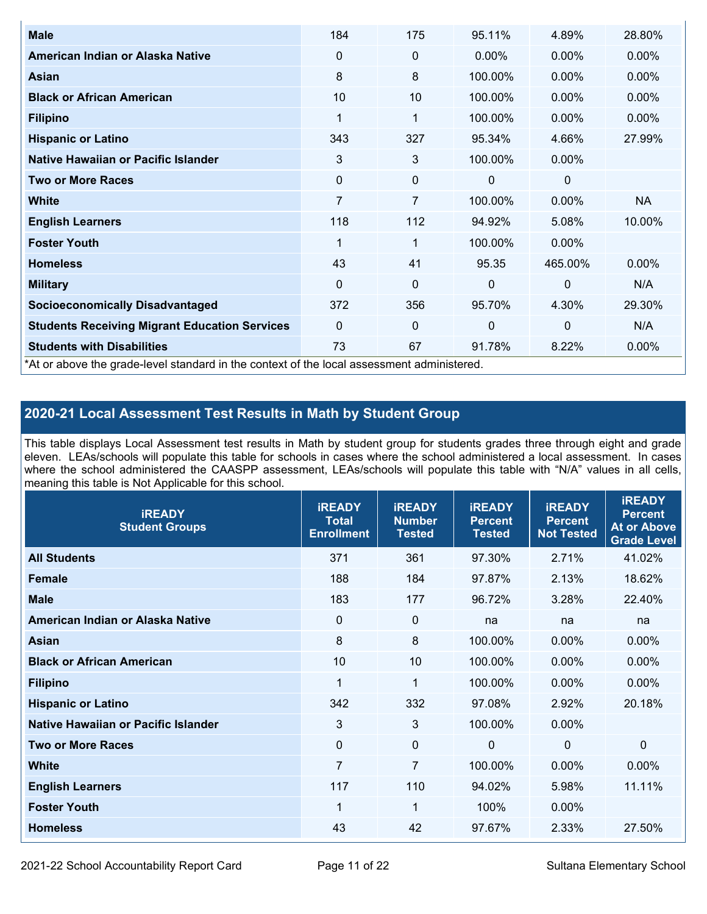| <b>Male</b>                                                                                | 184         | 175            | 95.11%       | 4.89%        | 28.80%    |
|--------------------------------------------------------------------------------------------|-------------|----------------|--------------|--------------|-----------|
| American Indian or Alaska Native                                                           | $\Omega$    | 0              | $0.00\%$     | $0.00\%$     | $0.00\%$  |
| <b>Asian</b>                                                                               | 8           | 8              | 100.00%      | $0.00\%$     | 0.00%     |
| <b>Black or African American</b>                                                           | 10          | 10             | 100.00%      | $0.00\%$     | $0.00\%$  |
| <b>Filipino</b>                                                                            | 1           | 1              | 100.00%      | $0.00\%$     | 0.00%     |
| <b>Hispanic or Latino</b>                                                                  | 343         | 327            | 95.34%       | 4.66%        | 27.99%    |
| Native Hawaiian or Pacific Islander                                                        | 3           | 3              | 100.00%      | 0.00%        |           |
| <b>Two or More Races</b>                                                                   | $\mathbf 0$ | 0              | 0            | 0            |           |
| White                                                                                      | 7           | $\overline{7}$ | 100.00%      | $0.00\%$     | <b>NA</b> |
| <b>English Learners</b>                                                                    | 118         | 112            | 94.92%       | 5.08%        | 10.00%    |
| <b>Foster Youth</b>                                                                        | 1           | 1              | 100.00%      | $0.00\%$     |           |
| <b>Homeless</b>                                                                            | 43          | 41             | 95.35        | 465.00%      | $0.00\%$  |
| <b>Military</b>                                                                            | $\Omega$    | $\mathbf 0$    | $\mathbf{0}$ | $\mathbf{0}$ | N/A       |
| <b>Socioeconomically Disadvantaged</b>                                                     | 372         | 356            | 95.70%       | 4.30%        | 29.30%    |
| <b>Students Receiving Migrant Education Services</b>                                       | 0           | 0              | $\mathbf 0$  | $\mathbf 0$  | N/A       |
| <b>Students with Disabilities</b>                                                          | 73          | 67             | 91.78%       | 8.22%        | 0.00%     |
| *At or above the grade-level standard in the context of the local assessment administered. |             |                |              |              |           |

## **2020-21 Local Assessment Test Results in Math by Student Group**

This table displays Local Assessment test results in Math by student group for students grades three through eight and grade eleven. LEAs/schools will populate this table for schools in cases where the school administered a local assessment. In cases where the school administered the CAASPP assessment, LEAs/schools will populate this table with "N/A" values in all cells, meaning this table is Not Applicable for this school.

| <b>iREADY</b><br><b>Student Groups</b> | <b>IREADY</b><br><b>Total</b><br><b>Enrollment</b> | <b>iREADY</b><br><b>Number</b><br><b>Tested</b> | <b>iREADY</b><br><b>Percent</b><br><b>Tested</b> | <b>IREADY</b><br><b>Percent</b><br><b>Not Tested</b> | <b>IREADY</b><br><b>Percent</b><br><b>At or Above</b><br><b>Grade Level</b> |
|----------------------------------------|----------------------------------------------------|-------------------------------------------------|--------------------------------------------------|------------------------------------------------------|-----------------------------------------------------------------------------|
| <b>All Students</b>                    | 371                                                | 361                                             | 97.30%                                           | 2.71%                                                | 41.02%                                                                      |
| <b>Female</b>                          | 188                                                | 184                                             | 97.87%                                           | 2.13%                                                | 18.62%                                                                      |
| <b>Male</b>                            | 183                                                | 177                                             | 96.72%                                           | 3.28%                                                | 22.40%                                                                      |
| American Indian or Alaska Native       | 0                                                  | $\mathbf 0$                                     | na                                               | na                                                   | na                                                                          |
| <b>Asian</b>                           | 8                                                  | 8                                               | 100.00%                                          | 0.00%                                                | 0.00%                                                                       |
| <b>Black or African American</b>       | 10                                                 | 10                                              | 100.00%                                          | 0.00%                                                | 0.00%                                                                       |
| <b>Filipino</b>                        | 1                                                  | 1                                               | 100.00%                                          | 0.00%                                                | 0.00%                                                                       |
| <b>Hispanic or Latino</b>              | 342                                                | 332                                             | 97.08%                                           | 2.92%                                                | 20.18%                                                                      |
| Native Hawaiian or Pacific Islander    | 3                                                  | 3                                               | 100.00%                                          | 0.00%                                                |                                                                             |
| <b>Two or More Races</b>               | $\Omega$                                           | $\mathbf 0$                                     | $\mathbf{0}$                                     | $\mathbf{0}$                                         | $\Omega$                                                                    |
| <b>White</b>                           | $\overline{7}$                                     | $\overline{7}$                                  | 100.00%                                          | 0.00%                                                | $0.00\%$                                                                    |
| <b>English Learners</b>                | 117                                                | 110                                             | 94.02%                                           | 5.98%                                                | 11.11%                                                                      |
| <b>Foster Youth</b>                    | $\mathbf 1$                                        | 1                                               | 100%                                             | 0.00%                                                |                                                                             |
| <b>Homeless</b>                        | 43                                                 | 42                                              | 97.67%                                           | 2.33%                                                | 27.50%                                                                      |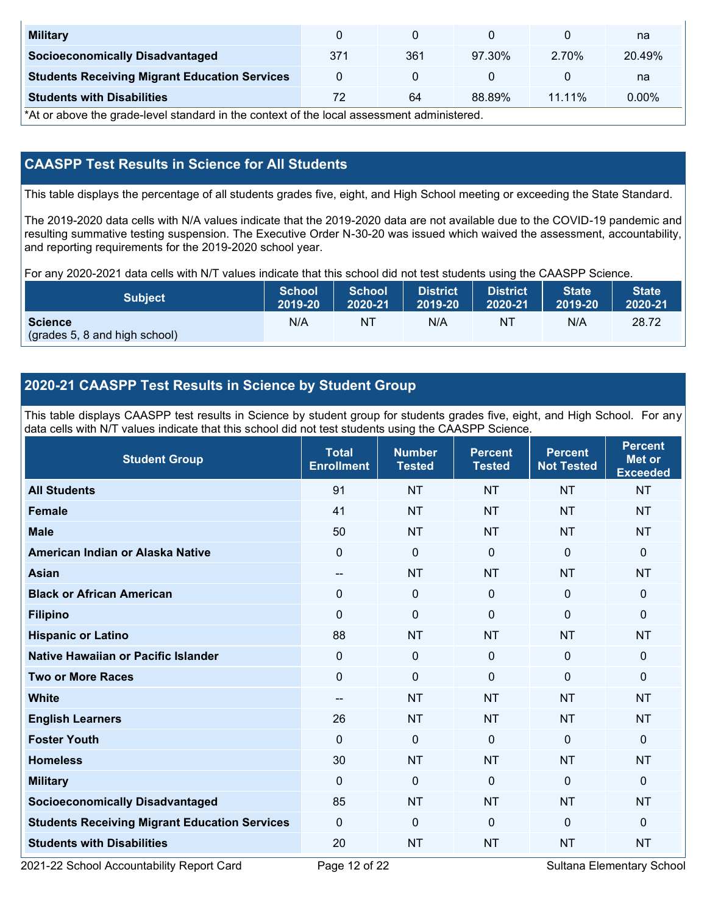| <b>Military</b>                                      |     |     |        |          | na       |
|------------------------------------------------------|-----|-----|--------|----------|----------|
| <b>Socioeconomically Disadvantaged</b>               | 371 | 361 | 97.30% | 2.70%    | 20.49%   |
| <b>Students Receiving Migrant Education Services</b> |     |     |        |          | na       |
| <b>Students with Disabilities</b>                    |     | 64  | 88.89% | $1111\%$ | $0.00\%$ |

\*At or above the grade-level standard in the context of the local assessment administered.

## **CAASPP Test Results in Science for All Students**

This table displays the percentage of all students grades five, eight, and High School meeting or exceeding the State Standard.

The 2019-2020 data cells with N/A values indicate that the 2019-2020 data are not available due to the COVID-19 pandemic and resulting summative testing suspension. The Executive Order N-30-20 was issued which waived the assessment, accountability, and reporting requirements for the 2019-2020 school year.

For any 2020-2021 data cells with N/T values indicate that this school did not test students using the CAASPP Science.

| <b>Subject</b>                                  | <b>School</b> | <b>School</b> | <b>District</b> | <b>District</b> | <b>State</b> | <b>State</b> |
|-------------------------------------------------|---------------|---------------|-----------------|-----------------|--------------|--------------|
|                                                 | 2019-20       | 2020-21       | 2019-20         | 2020-21         | 2019-20      | 2020-21      |
| <b>Science</b><br>(grades 5, 8 and high school) | N/A           | ΝT            | N/A             | N1              | N/A          | 28.72        |

## **2020-21 CAASPP Test Results in Science by Student Group**

This table displays CAASPP test results in Science by student group for students grades five, eight, and High School. For any data cells with N/T values indicate that this school did not test students using the CAASPP Science.

| <b>Student Group</b>                                 | <b>Total</b><br><b>Enrollment</b> | <b>Number</b><br><b>Tested</b> | <b>Percent</b><br><b>Tested</b> | <b>Percent</b><br><b>Not Tested</b> | <b>Percent</b><br>Met or<br><b>Exceeded</b> |
|------------------------------------------------------|-----------------------------------|--------------------------------|---------------------------------|-------------------------------------|---------------------------------------------|
| <b>All Students</b>                                  | 91                                | <b>NT</b>                      | <b>NT</b>                       | <b>NT</b>                           | <b>NT</b>                                   |
| <b>Female</b>                                        | 41                                | <b>NT</b>                      | <b>NT</b>                       | <b>NT</b>                           | <b>NT</b>                                   |
| <b>Male</b>                                          | 50                                | <b>NT</b>                      | <b>NT</b>                       | <b>NT</b>                           | <b>NT</b>                                   |
| American Indian or Alaska Native                     | 0                                 | $\mathbf 0$                    | $\mathbf 0$                     | $\mathbf 0$                         | 0                                           |
| <b>Asian</b>                                         | $\overline{\phantom{a}}$          | <b>NT</b>                      | <b>NT</b>                       | <b>NT</b>                           | <b>NT</b>                                   |
| <b>Black or African American</b>                     | $\mathbf 0$                       | $\mathbf 0$                    | $\mathbf 0$                     | $\mathbf 0$                         | 0                                           |
| <b>Filipino</b>                                      | $\overline{0}$                    | $\mathbf 0$                    | $\Omega$                        | $\mathbf{0}$                        | 0                                           |
| <b>Hispanic or Latino</b>                            | 88                                | <b>NT</b>                      | <b>NT</b>                       | <b>NT</b>                           | <b>NT</b>                                   |
| <b>Native Hawaiian or Pacific Islander</b>           | $\mathbf{0}$                      | $\mathbf 0$                    | $\mathbf{0}$                    | $\mathbf{0}$                        | 0                                           |
| <b>Two or More Races</b>                             | $\Omega$                          | $\mathbf 0$                    | $\mathbf{0}$                    | $\mathbf{0}$                        | 0                                           |
| <b>White</b>                                         | $\qquad \qquad -$                 | <b>NT</b>                      | <b>NT</b>                       | <b>NT</b>                           | <b>NT</b>                                   |
| <b>English Learners</b>                              | 26                                | <b>NT</b>                      | <b>NT</b>                       | <b>NT</b>                           | <b>NT</b>                                   |
| <b>Foster Youth</b>                                  | $\mathbf 0$                       | $\mathbf 0$                    | $\mathbf 0$                     | $\mathbf 0$                         | 0                                           |
| <b>Homeless</b>                                      | 30                                | <b>NT</b>                      | <b>NT</b>                       | <b>NT</b>                           | <b>NT</b>                                   |
| <b>Military</b>                                      | $\mathbf 0$                       | $\mathbf 0$                    | $\mathbf 0$                     | $\mathbf 0$                         | 0                                           |
| <b>Socioeconomically Disadvantaged</b>               | 85                                | <b>NT</b>                      | <b>NT</b>                       | <b>NT</b>                           | <b>NT</b>                                   |
| <b>Students Receiving Migrant Education Services</b> | $\mathbf{0}$                      | $\mathbf 0$                    | $\mathbf 0$                     | $\mathbf{0}$                        | 0                                           |
| <b>Students with Disabilities</b>                    | 20                                | <b>NT</b>                      | <b>NT</b>                       | <b>NT</b>                           | <b>NT</b>                                   |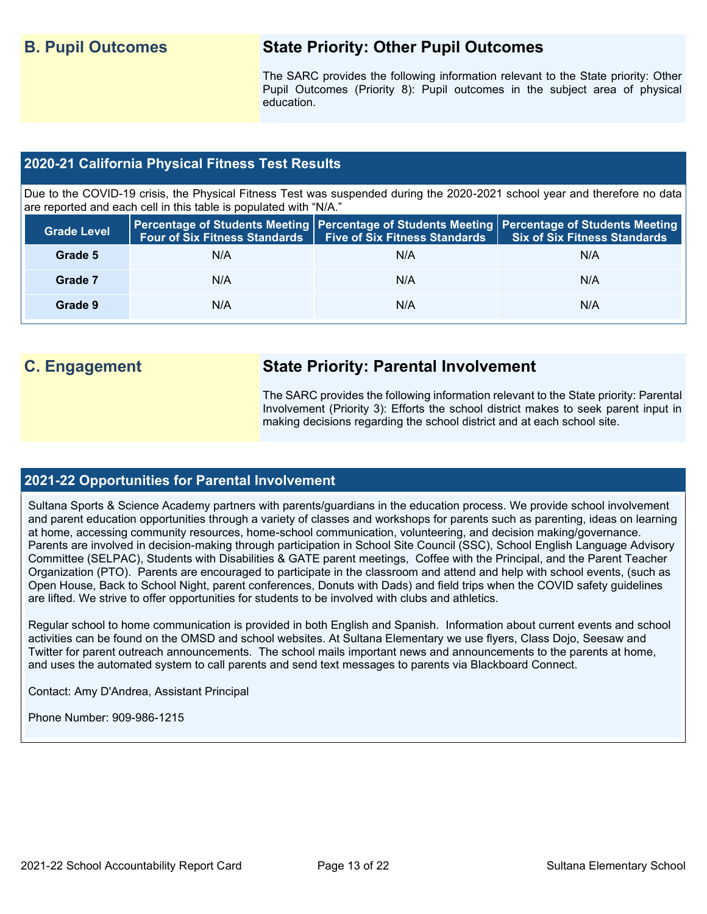## **B. Pupil Outcomes State Priority: Other Pupil Outcomes**

The SARC provides the following information relevant to the State priority: Other Pupil Outcomes (Priority 8): Pupil outcomes in the subject area of physical education.

## **2020-21 California Physical Fitness Test Results**

Due to the COVID-19 crisis, the Physical Fitness Test was suspended during the 2020-2021 school year and therefore no data are reported and each cell in this table is populated with "N/A."

| <b>Grade Level</b> |     | Four of Six Fitness Standards   Five of Six Fitness Standards | <b>Percentage of Students Meeting   Percentage of Students Meeting   Percentage of Students Meeting  </b><br><b>Six of Six Fitness Standards</b> |
|--------------------|-----|---------------------------------------------------------------|--------------------------------------------------------------------------------------------------------------------------------------------------|
| Grade 5            | N/A | N/A                                                           | N/A                                                                                                                                              |
| Grade 7            | N/A | N/A                                                           | N/A                                                                                                                                              |
| Grade 9            | N/A | N/A                                                           | N/A                                                                                                                                              |

## **C. Engagement State Priority: Parental Involvement**

The SARC provides the following information relevant to the State priority: Parental Involvement (Priority 3): Efforts the school district makes to seek parent input in making decisions regarding the school district and at each school site.

## **2021-22 Opportunities for Parental Involvement**

Sultana Sports & Science Academy partners with parents/guardians in the education process. We provide school involvement and parent education opportunities through a variety of classes and workshops for parents such as parenting, ideas on learning at home, accessing community resources, home-school communication, volunteering, and decision making/governance. Parents are involved in decision-making through participation in School Site Council (SSC), School English Language Advisory Committee (SELPAC), Students with Disabilities & GATE parent meetings, Coffee with the Principal, and the Parent Teacher Organization (PTO). Parents are encouraged to participate in the classroom and attend and help with school events, (such as Open House, Back to School Night, parent conferences, Donuts with Dads) and field trips when the COVID safety guidelines are lifted. We strive to offer opportunities for students to be involved with clubs and athletics.

Regular school to home communication is provided in both English and Spanish. Information about current events and school activities can be found on the OMSD and school websites. At Sultana Elementary we use flyers, Class Dojo, Seesaw and Twitter for parent outreach announcements. The school mails important news and announcements to the parents at home, and uses the automated system to call parents and send text messages to parents via Blackboard Connect.

Contact: Amy D'Andrea, Assistant Principal

Phone Number: 909-986-1215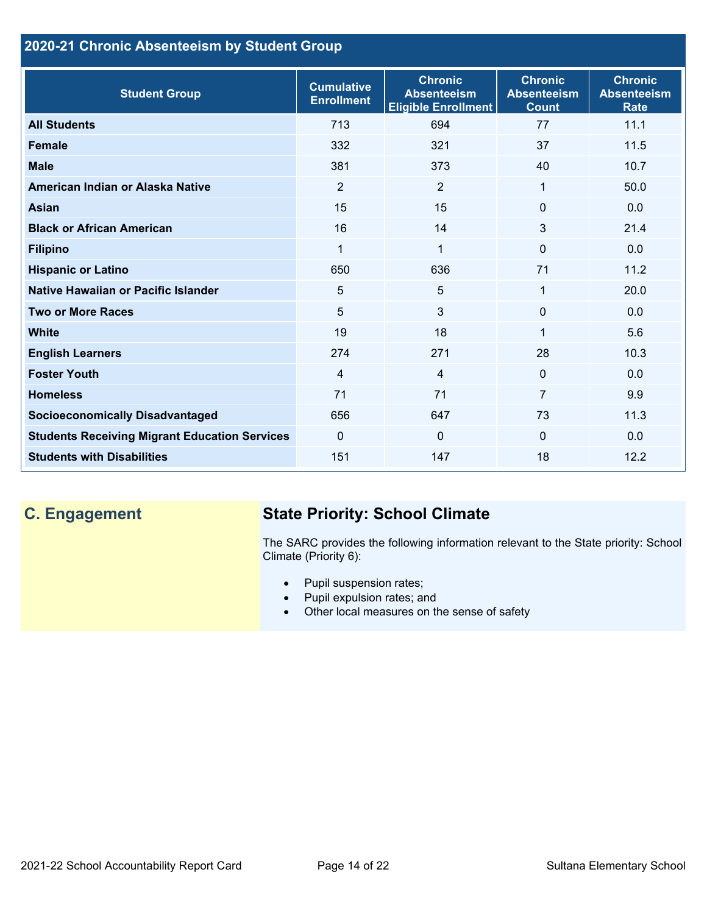## **2020-21 Chronic Absenteeism by Student Group**

| <b>Student Group</b>                                 | <b>Cumulative</b><br><b>Enrollment</b> | <b>Chronic</b><br><b>Absenteeism</b><br><b>Eligible Enrollment</b> | <b>Chronic</b><br><b>Absenteeism</b><br><b>Count</b> | <b>Chronic</b><br><b>Absenteeism</b><br><b>Rate</b> |
|------------------------------------------------------|----------------------------------------|--------------------------------------------------------------------|------------------------------------------------------|-----------------------------------------------------|
| <b>All Students</b>                                  | 713                                    | 694                                                                | 77                                                   | 11.1                                                |
| <b>Female</b>                                        | 332                                    | 321                                                                | 37                                                   | 11.5                                                |
| <b>Male</b>                                          | 381                                    | 373                                                                | 40                                                   | 10.7                                                |
| American Indian or Alaska Native                     | 2                                      | $\overline{2}$                                                     | 1                                                    | 50.0                                                |
| <b>Asian</b>                                         | 15                                     | 15                                                                 | $\Omega$                                             | 0.0                                                 |
| <b>Black or African American</b>                     | 16                                     | 14                                                                 | 3                                                    | 21.4                                                |
| <b>Filipino</b>                                      | 1                                      | $\mathbf 1$                                                        | $\mathbf{0}$                                         | 0.0                                                 |
| <b>Hispanic or Latino</b>                            | 650                                    | 636                                                                | 71                                                   | 11.2                                                |
| Native Hawaiian or Pacific Islander                  | 5                                      | 5                                                                  | 1                                                    | 20.0                                                |
| <b>Two or More Races</b>                             | 5                                      | 3                                                                  | $\mathbf 0$                                          | 0.0                                                 |
| <b>White</b>                                         | 19                                     | 18                                                                 | 1                                                    | 5.6                                                 |
| <b>English Learners</b>                              | 274                                    | 271                                                                | 28                                                   | 10.3                                                |
| <b>Foster Youth</b>                                  | $\overline{4}$                         | $\overline{4}$                                                     | $\mathbf{0}$                                         | 0.0                                                 |
| <b>Homeless</b>                                      | 71                                     | 71                                                                 | $\overline{7}$                                       | 9.9                                                 |
| <b>Socioeconomically Disadvantaged</b>               | 656                                    | 647                                                                | 73                                                   | 11.3                                                |
| <b>Students Receiving Migrant Education Services</b> | $\mathbf{0}$                           | $\mathbf 0$                                                        | $\mathbf{0}$                                         | 0.0                                                 |
| <b>Students with Disabilities</b>                    | 151                                    | 147                                                                | 18                                                   | 12.2                                                |

# **C. Engagement State Priority: School Climate**

The SARC provides the following information relevant to the State priority: School Climate (Priority 6):

- Pupil suspension rates;
- Pupil expulsion rates; and
- Other local measures on the sense of safety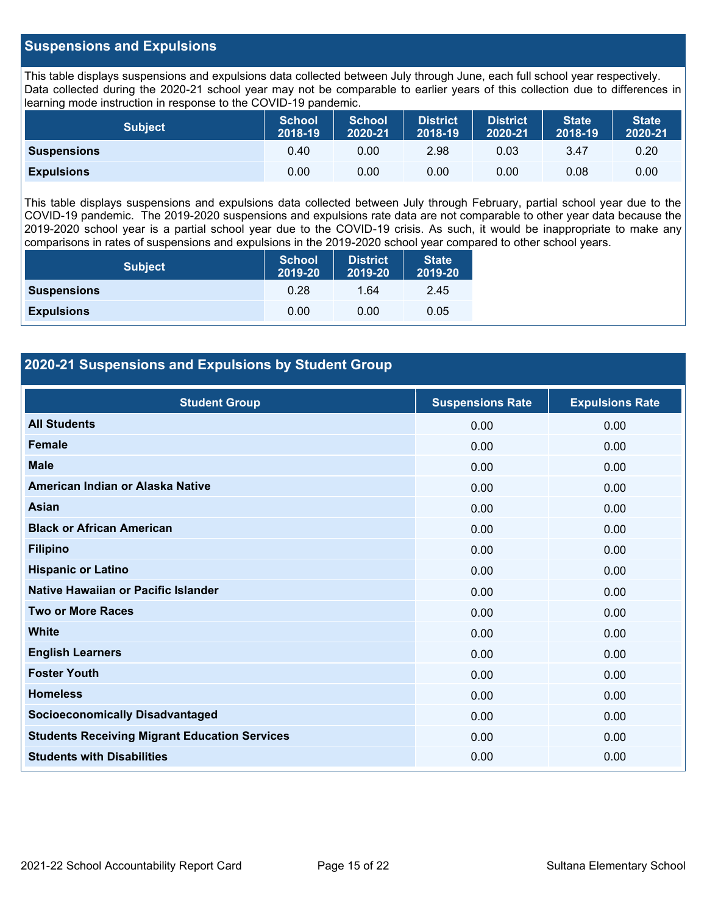### **Suspensions and Expulsions**

This table displays suspensions and expulsions data collected between July through June, each full school year respectively. Data collected during the 2020-21 school year may not be comparable to earlier years of this collection due to differences in learning mode instruction in response to the COVID-19 pandemic.

| <b>Subject</b>     | <b>School</b><br>2018-19 | <b>School</b><br>2020-21 | <b>District</b><br>2018-19 | <b>District</b><br>2020-21 | <b>State</b><br>2018-19 | <b>State</b><br>2020-21 |
|--------------------|--------------------------|--------------------------|----------------------------|----------------------------|-------------------------|-------------------------|
| <b>Suspensions</b> | 0.40                     | 0.00                     | 2.98                       | 0.03                       | 3.47                    | 0.20                    |
| <b>Expulsions</b>  | 0.00                     | 0.00                     | 0.00                       | 0.00                       | 0.08                    | 0.00                    |

This table displays suspensions and expulsions data collected between July through February, partial school year due to the COVID-19 pandemic. The 2019-2020 suspensions and expulsions rate data are not comparable to other year data because the 2019-2020 school year is a partial school year due to the COVID-19 crisis. As such, it would be inappropriate to make any comparisons in rates of suspensions and expulsions in the 2019-2020 school year compared to other school years.

| <b>Subject</b>     | <b>School</b><br>2019-20 | <b>District</b><br>2019-20 | <b>State</b><br>2019-20 |
|--------------------|--------------------------|----------------------------|-------------------------|
| <b>Suspensions</b> | 0.28                     | 1.64                       | 2.45                    |
| <b>Expulsions</b>  | 0.00                     | 0.00                       | 0.05                    |

## **2020-21 Suspensions and Expulsions by Student Group**

| <b>Student Group</b>                                 | <b>Suspensions Rate</b> | <b>Expulsions Rate</b> |
|------------------------------------------------------|-------------------------|------------------------|
| <b>All Students</b>                                  | 0.00                    | 0.00                   |
| <b>Female</b>                                        | 0.00                    | 0.00                   |
| <b>Male</b>                                          | 0.00                    | 0.00                   |
| American Indian or Alaska Native                     | 0.00                    | 0.00                   |
| <b>Asian</b>                                         | 0.00                    | 0.00                   |
| <b>Black or African American</b>                     | 0.00                    | 0.00                   |
| <b>Filipino</b>                                      | 0.00                    | 0.00                   |
| <b>Hispanic or Latino</b>                            | 0.00                    | 0.00                   |
| Native Hawaiian or Pacific Islander                  | 0.00                    | 0.00                   |
| <b>Two or More Races</b>                             | 0.00                    | 0.00                   |
| <b>White</b>                                         | 0.00                    | 0.00                   |
| <b>English Learners</b>                              | 0.00                    | 0.00                   |
| <b>Foster Youth</b>                                  | 0.00                    | 0.00                   |
| <b>Homeless</b>                                      | 0.00                    | 0.00                   |
| <b>Socioeconomically Disadvantaged</b>               | 0.00                    | 0.00                   |
| <b>Students Receiving Migrant Education Services</b> | 0.00                    | 0.00                   |
| <b>Students with Disabilities</b>                    | 0.00                    | 0.00                   |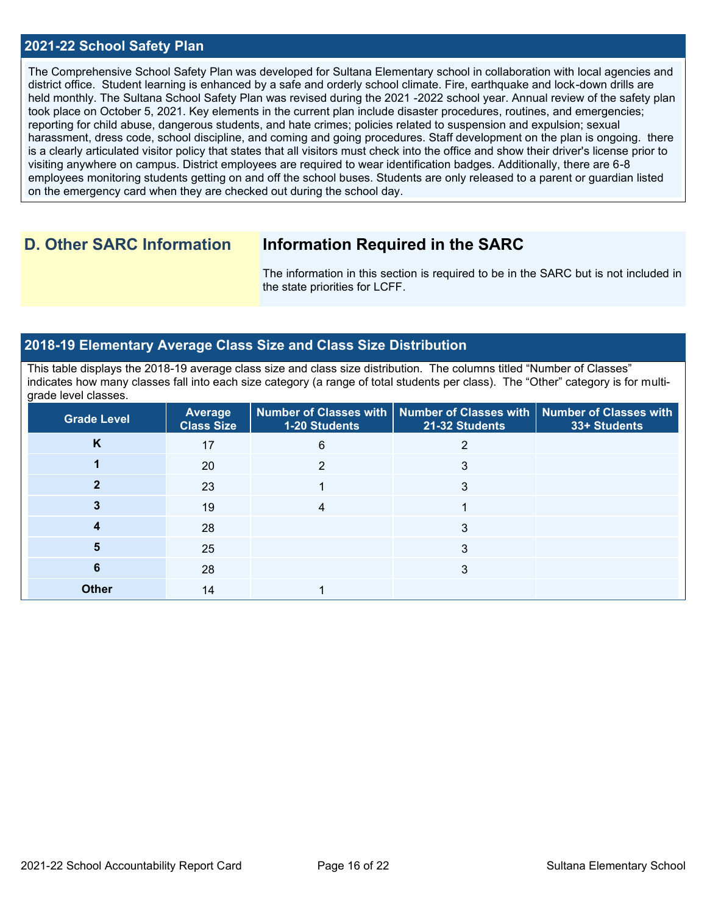### **2021-22 School Safety Plan**

The Comprehensive School Safety Plan was developed for Sultana Elementary school in collaboration with local agencies and district office. Student learning is enhanced by a safe and orderly school climate. Fire, earthquake and lock-down drills are held monthly. The Sultana School Safety Plan was revised during the 2021 -2022 school year. Annual review of the safety plan took place on October 5, 2021. Key elements in the current plan include disaster procedures, routines, and emergencies; reporting for child abuse, dangerous students, and hate crimes; policies related to suspension and expulsion; sexual harassment, dress code, school discipline, and coming and going procedures. Staff development on the plan is ongoing. there is a clearly articulated visitor policy that states that all visitors must check into the office and show their driver's license prior to visiting anywhere on campus. District employees are required to wear identification badges. Additionally, there are 6-8 employees monitoring students getting on and off the school buses. Students are only released to a parent or guardian listed on the emergency card when they are checked out during the school day.

## **D. Other SARC Information Information Required in the SARC**

The information in this section is required to be in the SARC but is not included in the state priorities for LCFF.

### **2018-19 Elementary Average Class Size and Class Size Distribution**

This table displays the 2018-19 average class size and class size distribution. The columns titled "Number of Classes" indicates how many classes fall into each size category (a range of total students per class). The "Other" category is for multigrade level classes.

| Grade Level  | <b>Average</b><br><b>Class Size</b> | 1-20 Students | Number of Classes with   Number of Classes with   Number of Classes with<br>21-32 Students | 33+ Students |
|--------------|-------------------------------------|---------------|--------------------------------------------------------------------------------------------|--------------|
| K            | 17                                  | 6             |                                                                                            |              |
|              | 20                                  |               | 3                                                                                          |              |
|              | 23                                  |               | 3                                                                                          |              |
|              | 19                                  |               |                                                                                            |              |
|              | 28                                  |               | 3                                                                                          |              |
|              | 25                                  |               | 3                                                                                          |              |
| 6            | 28                                  |               | 3                                                                                          |              |
| <b>Other</b> | 14                                  |               |                                                                                            |              |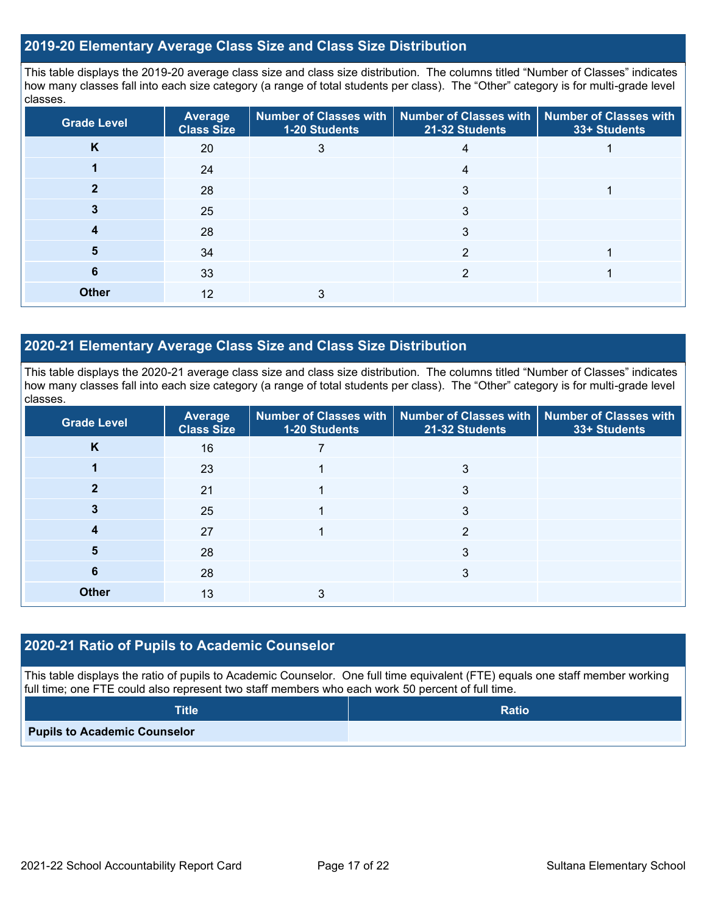### **2019-20 Elementary Average Class Size and Class Size Distribution**

This table displays the 2019-20 average class size and class size distribution. The columns titled "Number of Classes" indicates how many classes fall into each size category (a range of total students per class). The "Other" category is for multi-grade level classes.

| <b>Grade Level</b> | <b>Average</b><br><b>Class Size</b> | 1-20 Students | Number of Classes with   Number of Classes with   Number of Classes with<br>21-32 Students | 33+ Students |
|--------------------|-------------------------------------|---------------|--------------------------------------------------------------------------------------------|--------------|
| K                  | 20                                  | 3             | 4                                                                                          |              |
|                    | 24                                  |               | 4                                                                                          |              |
|                    | 28                                  |               | 3                                                                                          |              |
|                    | 25                                  |               | 3                                                                                          |              |
|                    | 28                                  |               | 3                                                                                          |              |
| 5                  | 34                                  |               | っ                                                                                          |              |
| 6                  | 33                                  |               | ◠                                                                                          |              |
| <b>Other</b>       | 12                                  |               |                                                                                            |              |

### **2020-21 Elementary Average Class Size and Class Size Distribution**

This table displays the 2020-21 average class size and class size distribution. The columns titled "Number of Classes" indicates how many classes fall into each size category (a range of total students per class). The "Other" category is for multi-grade level classes.

| <b>Grade Level</b> | <b>Average</b><br><b>Class Size</b> | 1-20 Students | Number of Classes with   Number of Classes with   Number of Classes with<br>21-32 Students | 33+ Students |
|--------------------|-------------------------------------|---------------|--------------------------------------------------------------------------------------------|--------------|
| K                  | 16                                  |               |                                                                                            |              |
|                    | 23                                  |               | 3                                                                                          |              |
|                    | 21                                  |               | 3                                                                                          |              |
|                    | 25                                  |               | 3                                                                                          |              |
|                    | 27                                  |               | っ                                                                                          |              |
| 5                  | 28                                  |               | 3                                                                                          |              |
| 6                  | 28                                  |               | 3                                                                                          |              |
| <b>Other</b>       | 13                                  |               |                                                                                            |              |

### **2020-21 Ratio of Pupils to Academic Counselor**

This table displays the ratio of pupils to Academic Counselor. One full time equivalent (FTE) equals one staff member working full time; one FTE could also represent two staff members who each work 50 percent of full time.

| <b>Title</b>                        | <b>Ratio</b> |
|-------------------------------------|--------------|
| <b>Pupils to Academic Counselor</b> |              |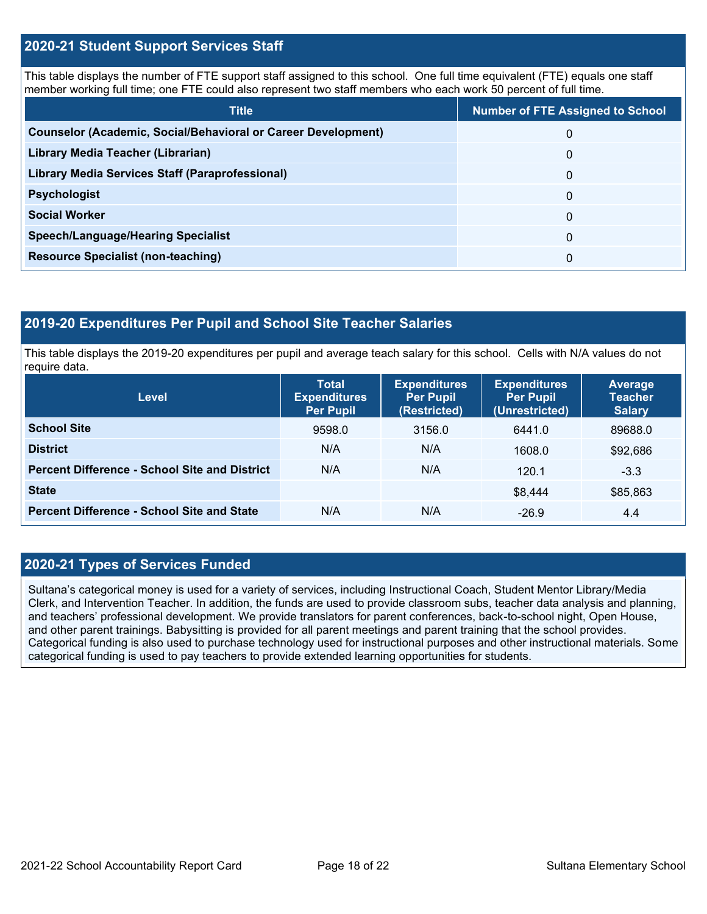### **2020-21 Student Support Services Staff**

This table displays the number of FTE support staff assigned to this school. One full time equivalent (FTE) equals one staff member working full time; one FTE could also represent two staff members who each work 50 percent of full time.

| <b>Title</b>                                                         | <b>Number of FTE Assigned to School</b> |
|----------------------------------------------------------------------|-----------------------------------------|
| <b>Counselor (Academic, Social/Behavioral or Career Development)</b> | 0                                       |
| Library Media Teacher (Librarian)                                    | 0                                       |
| Library Media Services Staff (Paraprofessional)                      | 0                                       |
| <b>Psychologist</b>                                                  | 0                                       |
| <b>Social Worker</b>                                                 | $\Omega$                                |
| <b>Speech/Language/Hearing Specialist</b>                            | 0                                       |
| <b>Resource Specialist (non-teaching)</b>                            | 0                                       |

### **2019-20 Expenditures Per Pupil and School Site Teacher Salaries**

This table displays the 2019-20 expenditures per pupil and average teach salary for this school. Cells with N/A values do not require data.

| Level                                                | <b>Total</b><br><b>Expenditures</b><br><b>Per Pupil</b> | <b>Expenditures</b><br><b>Per Pupil</b><br>(Restricted) | <b>Expenditures</b><br><b>Per Pupil</b><br>(Unrestricted) | <b>Average</b><br><b>Teacher</b><br><b>Salary</b> |
|------------------------------------------------------|---------------------------------------------------------|---------------------------------------------------------|-----------------------------------------------------------|---------------------------------------------------|
| <b>School Site</b>                                   | 9598.0                                                  | 3156.0                                                  | 6441.0                                                    | 89688.0                                           |
| <b>District</b>                                      | N/A                                                     | N/A                                                     | 1608.0                                                    | \$92,686                                          |
| <b>Percent Difference - School Site and District</b> | N/A                                                     | N/A                                                     | 120.1                                                     | $-3.3$                                            |
| <b>State</b>                                         |                                                         |                                                         | \$8,444                                                   | \$85,863                                          |
| <b>Percent Difference - School Site and State</b>    | N/A                                                     | N/A                                                     | $-26.9$                                                   | 4.4                                               |

## **2020-21 Types of Services Funded**

Sultana's categorical money is used for a variety of services, including Instructional Coach, Student Mentor Library/Media Clerk, and Intervention Teacher. In addition, the funds are used to provide classroom subs, teacher data analysis and planning, and teachers' professional development. We provide translators for parent conferences, back-to-school night, Open House, and other parent trainings. Babysitting is provided for all parent meetings and parent training that the school provides. Categorical funding is also used to purchase technology used for instructional purposes and other instructional materials. Some categorical funding is used to pay teachers to provide extended learning opportunities for students.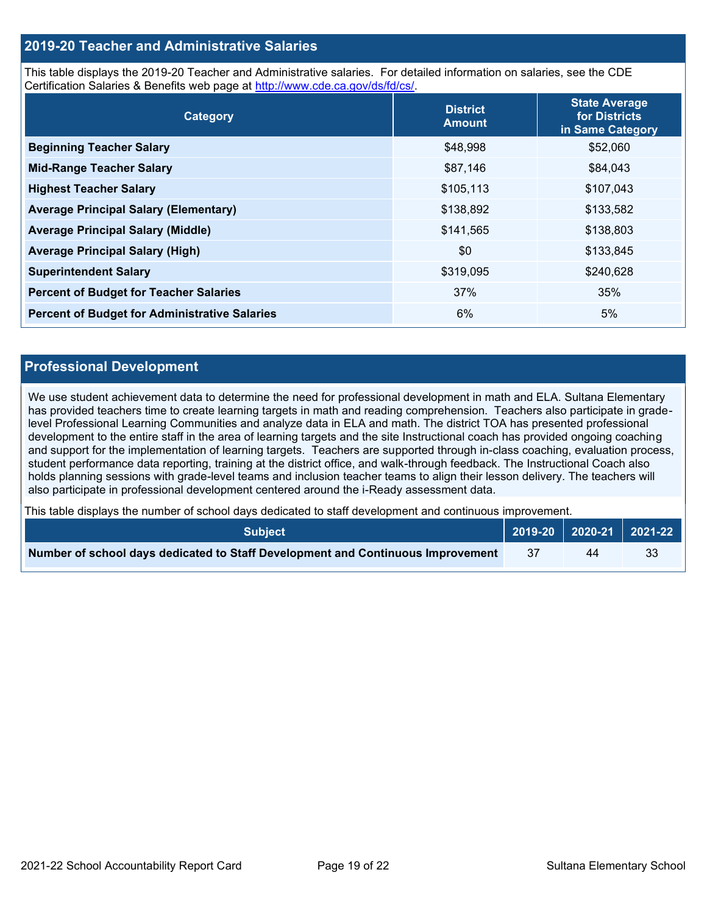### **2019-20 Teacher and Administrative Salaries**

This table displays the 2019-20 Teacher and Administrative salaries. For detailed information on salaries, see the CDE Certification Salaries & Benefits web page at [http://www.cde.ca.gov/ds/fd/cs/.](http://www.cde.ca.gov/ds/fd/cs/)

| Category                                             | <b>District</b><br><b>Amount</b> | <b>State Average</b><br>for Districts<br>in Same Category |
|------------------------------------------------------|----------------------------------|-----------------------------------------------------------|
| <b>Beginning Teacher Salary</b>                      | \$48,998                         | \$52,060                                                  |
| <b>Mid-Range Teacher Salary</b>                      | \$87,146                         | \$84,043                                                  |
| <b>Highest Teacher Salary</b>                        | \$105,113                        | \$107,043                                                 |
| <b>Average Principal Salary (Elementary)</b>         | \$138,892                        | \$133,582                                                 |
| <b>Average Principal Salary (Middle)</b>             | \$141,565                        | \$138,803                                                 |
| <b>Average Principal Salary (High)</b>               | \$0                              | \$133,845                                                 |
| <b>Superintendent Salary</b>                         | \$319,095                        | \$240,628                                                 |
| <b>Percent of Budget for Teacher Salaries</b>        | 37%                              | 35%                                                       |
| <b>Percent of Budget for Administrative Salaries</b> | 6%                               | 5%                                                        |

### **Professional Development**

We use student achievement data to determine the need for professional development in math and ELA. Sultana Elementary has provided teachers time to create learning targets in math and reading comprehension. Teachers also participate in gradelevel Professional Learning Communities and analyze data in ELA and math. The district TOA has presented professional development to the entire staff in the area of learning targets and the site Instructional coach has provided ongoing coaching and support for the implementation of learning targets. Teachers are supported through in-class coaching, evaluation process, student performance data reporting, training at the district office, and walk-through feedback. The Instructional Coach also holds planning sessions with grade-level teams and inclusion teacher teams to align their lesson delivery. The teachers will also participate in professional development centered around the i-Ready assessment data.

This table displays the number of school days dedicated to staff development and continuous improvement.

| ⊦Subiect <b>\</b>                                                               |     |    | │ 2019-20 │ 2020-21 │ 2021-22 │ |
|---------------------------------------------------------------------------------|-----|----|---------------------------------|
| Number of school days dedicated to Staff Development and Continuous Improvement | -37 | 44 | 33                              |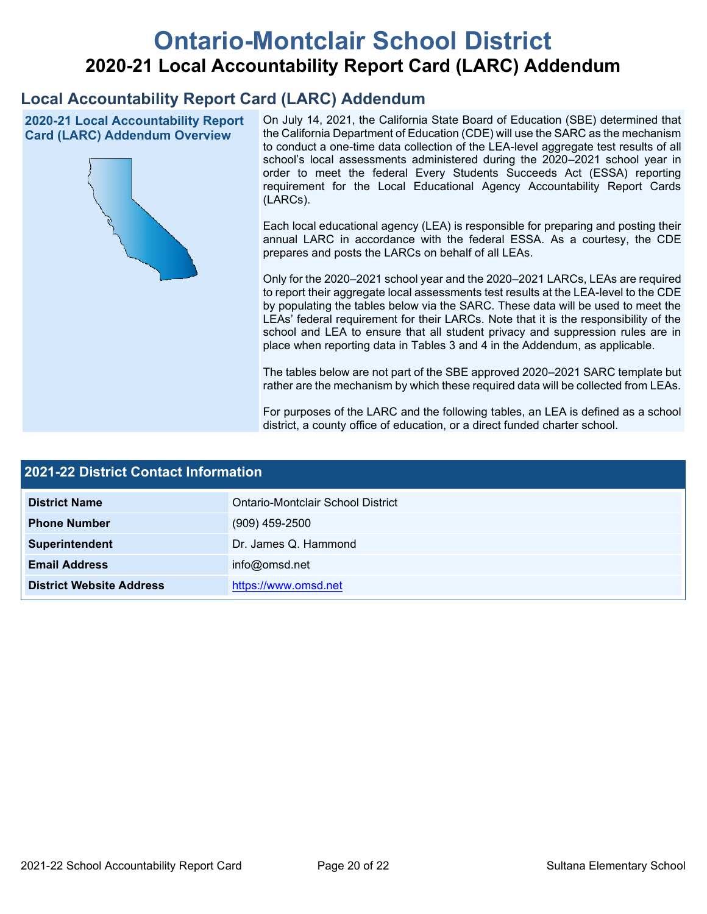# **Ontario-Montclair School District 2020-21 Local Accountability Report Card (LARC) Addendum**

## **Local Accountability Report Card (LARC) Addendum**

**2020-21 Local Accountability Report Card (LARC) Addendum Overview**



On July 14, 2021, the California State Board of Education (SBE) determined that the California Department of Education (CDE) will use the SARC as the mechanism to conduct a one-time data collection of the LEA-level aggregate test results of all school's local assessments administered during the 2020–2021 school year in order to meet the federal Every Students Succeeds Act (ESSA) reporting requirement for the Local Educational Agency Accountability Report Cards (LARCs).

Each local educational agency (LEA) is responsible for preparing and posting their annual LARC in accordance with the federal ESSA. As a courtesy, the CDE prepares and posts the LARCs on behalf of all LEAs.

Only for the 2020–2021 school year and the 2020–2021 LARCs, LEAs are required to report their aggregate local assessments test results at the LEA-level to the CDE by populating the tables below via the SARC. These data will be used to meet the LEAs' federal requirement for their LARCs. Note that it is the responsibility of the school and LEA to ensure that all student privacy and suppression rules are in place when reporting data in Tables 3 and 4 in the Addendum, as applicable.

The tables below are not part of the SBE approved 2020–2021 SARC template but rather are the mechanism by which these required data will be collected from LEAs.

For purposes of the LARC and the following tables, an LEA is defined as a school district, a county office of education, or a direct funded charter school.

| 2021-22 District Contact Information |                                   |  |  |
|--------------------------------------|-----------------------------------|--|--|
| <b>District Name</b>                 | Ontario-Montclair School District |  |  |
| <b>Phone Number</b>                  | $(909)$ 459-2500                  |  |  |
| Superintendent                       | Dr. James Q. Hammond              |  |  |
| <b>Email Address</b>                 | info@omsd.net                     |  |  |
| <b>District Website Address</b>      | https://www.omsd.net              |  |  |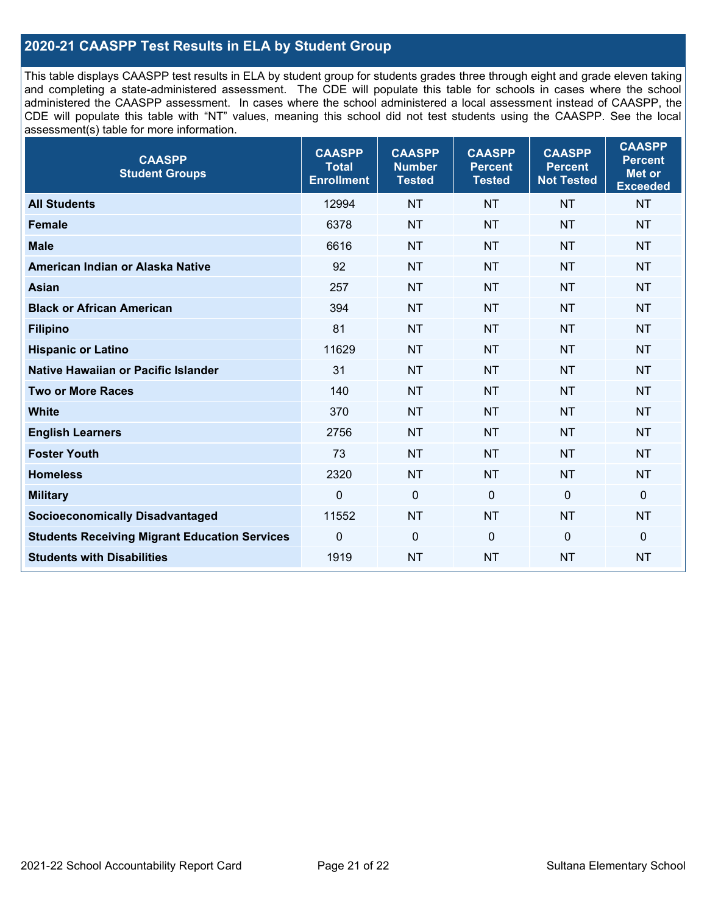## **2020-21 CAASPP Test Results in ELA by Student Group**

This table displays CAASPP test results in ELA by student group for students grades three through eight and grade eleven taking and completing a state-administered assessment. The CDE will populate this table for schools in cases where the school administered the CAASPP assessment. In cases where the school administered a local assessment instead of CAASPP, the CDE will populate this table with "NT" values, meaning this school did not test students using the CAASPP. See the local assessment(s) table for more information.

| <b>CAASPP</b><br><b>Student Groups</b>               | <b>CAASPP</b><br><b>Total</b><br><b>Enrollment</b> | <b>CAASPP</b><br><b>Number</b><br><b>Tested</b> | <b>CAASPP</b><br><b>Percent</b><br><b>Tested</b> | <b>CAASPP</b><br><b>Percent</b><br><b>Not Tested</b> | <b>CAASPP</b><br><b>Percent</b><br>Met or<br><b>Exceeded</b> |
|------------------------------------------------------|----------------------------------------------------|-------------------------------------------------|--------------------------------------------------|------------------------------------------------------|--------------------------------------------------------------|
| <b>All Students</b>                                  | 12994                                              | <b>NT</b>                                       | <b>NT</b>                                        | <b>NT</b>                                            | <b>NT</b>                                                    |
| <b>Female</b>                                        | 6378                                               | <b>NT</b>                                       | <b>NT</b>                                        | <b>NT</b>                                            | <b>NT</b>                                                    |
| <b>Male</b>                                          | 6616                                               | <b>NT</b>                                       | <b>NT</b>                                        | <b>NT</b>                                            | <b>NT</b>                                                    |
| American Indian or Alaska Native                     | 92                                                 | <b>NT</b>                                       | <b>NT</b>                                        | <b>NT</b>                                            | <b>NT</b>                                                    |
| <b>Asian</b>                                         | 257                                                | <b>NT</b>                                       | <b>NT</b>                                        | <b>NT</b>                                            | <b>NT</b>                                                    |
| <b>Black or African American</b>                     | 394                                                | <b>NT</b>                                       | <b>NT</b>                                        | <b>NT</b>                                            | <b>NT</b>                                                    |
| <b>Filipino</b>                                      | 81                                                 | <b>NT</b>                                       | <b>NT</b>                                        | <b>NT</b>                                            | <b>NT</b>                                                    |
| <b>Hispanic or Latino</b>                            | 11629                                              | <b>NT</b>                                       | <b>NT</b>                                        | <b>NT</b>                                            | <b>NT</b>                                                    |
| <b>Native Hawaiian or Pacific Islander</b>           | 31                                                 | <b>NT</b>                                       | <b>NT</b>                                        | <b>NT</b>                                            | <b>NT</b>                                                    |
| <b>Two or More Races</b>                             | 140                                                | <b>NT</b>                                       | <b>NT</b>                                        | <b>NT</b>                                            | <b>NT</b>                                                    |
| <b>White</b>                                         | 370                                                | <b>NT</b>                                       | <b>NT</b>                                        | <b>NT</b>                                            | <b>NT</b>                                                    |
| <b>English Learners</b>                              | 2756                                               | <b>NT</b>                                       | <b>NT</b>                                        | <b>NT</b>                                            | <b>NT</b>                                                    |
| <b>Foster Youth</b>                                  | 73                                                 | <b>NT</b>                                       | <b>NT</b>                                        | <b>NT</b>                                            | <b>NT</b>                                                    |
| <b>Homeless</b>                                      | 2320                                               | <b>NT</b>                                       | <b>NT</b>                                        | <b>NT</b>                                            | <b>NT</b>                                                    |
| <b>Military</b>                                      | $\mathbf 0$                                        | $\mathbf 0$                                     | $\mathbf 0$                                      | $\mathbf 0$                                          | 0                                                            |
| <b>Socioeconomically Disadvantaged</b>               | 11552                                              | <b>NT</b>                                       | <b>NT</b>                                        | <b>NT</b>                                            | <b>NT</b>                                                    |
| <b>Students Receiving Migrant Education Services</b> | $\Omega$                                           | $\mathbf 0$                                     | $\mathbf{0}$                                     | $\Omega$                                             | 0                                                            |
| <b>Students with Disabilities</b>                    | 1919                                               | <b>NT</b>                                       | <b>NT</b>                                        | <b>NT</b>                                            | <b>NT</b>                                                    |